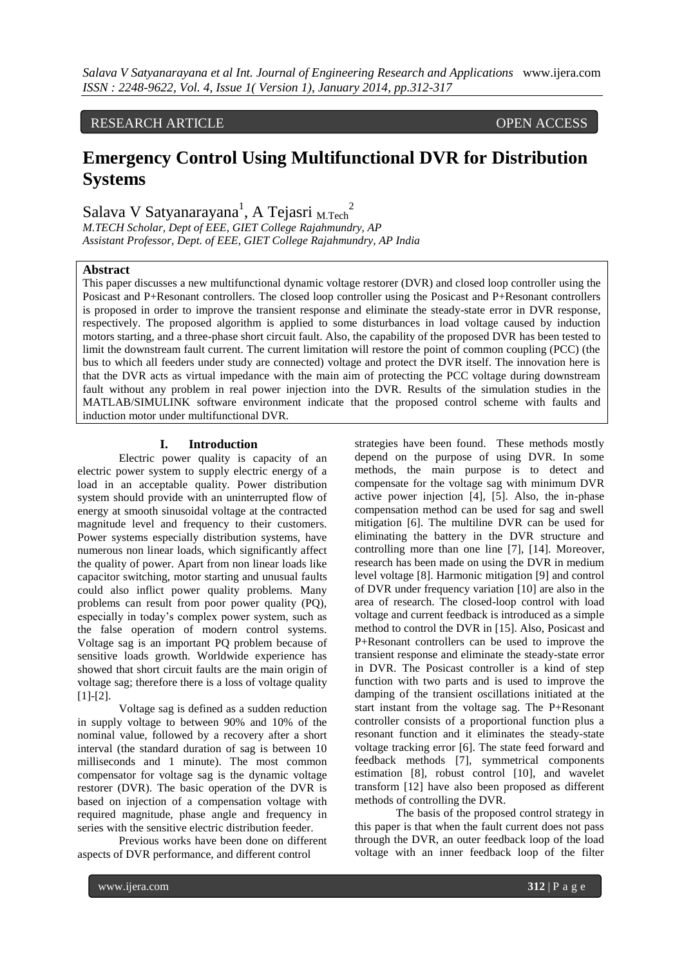## RESEARCH ARTICLE OPEN ACCESS

# **Emergency Control Using Multifunctional DVR for Distribution Systems**

Salava V Satyanarayana<sup>1</sup>, A Tejasri <sub>M.Tech</sub><sup>2</sup>

*M.TECH Scholar, Dept of EEE, GIET College Rajahmundry, AP Assistant Professor, Dept. of EEE, GIET College Rajahmundry, AP India*

## **Abstract**

This paper discusses a new multifunctional dynamic voltage restorer (DVR) and closed loop controller using the Posicast and P+Resonant controllers. The closed loop controller using the Posicast and P+Resonant controllers is proposed in order to improve the transient response and eliminate the steady-state error in DVR response, respectively. The proposed algorithm is applied to some disturbances in load voltage caused by induction motors starting, and a three-phase short circuit fault. Also, the capability of the proposed DVR has been tested to limit the downstream fault current. The current limitation will restore the point of common coupling (PCC) (the bus to which all feeders under study are connected) voltage and protect the DVR itself. The innovation here is that the DVR acts as virtual impedance with the main aim of protecting the PCC voltage during downstream fault without any problem in real power injection into the DVR. Results of the simulation studies in the MATLAB/SIMULINK software environment indicate that the proposed control scheme with faults and induction motor under multifunctional DVR.

#### **I. Introduction**

Electric power quality is capacity of an electric power system to supply electric energy of a load in an acceptable quality. Power distribution system should provide with an uninterrupted flow of energy at smooth sinusoidal voltage at the contracted magnitude level and frequency to their customers. Power systems especially distribution systems, have numerous non linear loads, which significantly affect the quality of power. Apart from non linear loads like capacitor switching, motor starting and unusual faults could also inflict power quality problems. Many problems can result from poor power quality (PQ), especially in today's complex power system, such as the false operation of modern control systems. Voltage sag is an important PQ problem because of sensitive loads growth. Worldwide experience has showed that short circuit faults are the main origin of voltage sag; therefore there is a loss of voltage quality [1]-[2].

Voltage sag is defined as a sudden reduction in supply voltage to between 90% and 10% of the nominal value, followed by a recovery after a short interval (the standard duration of sag is between 10 milliseconds and 1 minute). The most common compensator for voltage sag is the dynamic voltage restorer (DVR). The basic operation of the DVR is based on injection of a compensation voltage with required magnitude, phase angle and frequency in series with the sensitive electric distribution feeder.

Previous works have been done on different aspects of DVR performance, and different control

strategies have been found. These methods mostly depend on the purpose of using DVR. In some methods, the main purpose is to detect and compensate for the voltage sag with minimum DVR active power injection  $[4]$ ,  $[5]$ . Also, the in-phase compensation method can be used for sag and swell mitigation [6]. The multiline DVR can be used for eliminating the battery in the DVR structure and controlling more than one line [7], [14]. Moreover, research has been made on using the DVR in medium level voltage [8]. Harmonic mitigation [9] and control of DVR under frequency variation [10] are also in the area of research. The closed-loop control with load voltage and current feedback is introduced as a simple method to control the DVR in [15]. Also, Posicast and P+Resonant controllers can be used to improve the transient response and eliminate the steady-state error in DVR. The Posicast controller is a kind of step function with two parts and is used to improve the damping of the transient oscillations initiated at the start instant from the voltage sag. The P+Resonant controller consists of a proportional function plus a resonant function and it eliminates the steady-state voltage tracking error [6]. The state feed forward and feedback methods [7], symmetrical components estimation [8], robust control [10], and wavelet transform [12] have also been proposed as different methods of controlling the DVR.

The basis of the proposed control strategy in this paper is that when the fault current does not pass through the DVR, an outer feedback loop of the load voltage with an inner feedback loop of the filter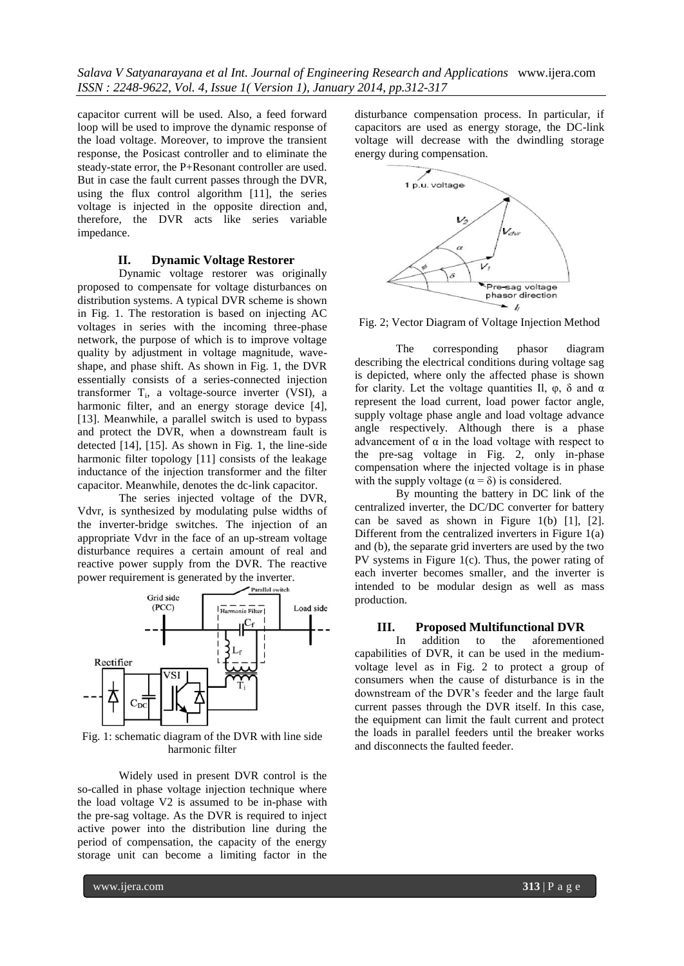capacitor current will be used. Also, a feed forward loop will be used to improve the dynamic response of the load voltage. Moreover, to improve the transient response, the Posicast controller and to eliminate the steady-state error, the P+Resonant controller are used. But in case the fault current passes through the DVR, using the flux control algorithm [11], the series voltage is injected in the opposite direction and, therefore, the DVR acts like series variable impedance.

#### **II. Dynamic Voltage Restorer**

Dynamic voltage restorer was originally proposed to compensate for voltage disturbances on distribution systems. A typical DVR scheme is shown in Fig. 1. The restoration is based on injecting AC voltages in series with the incoming three-phase network, the purpose of which is to improve voltage quality by adjustment in voltage magnitude, waveshape, and phase shift. As shown in Fig. 1, the DVR essentially consists of a series-connected injection transformer T<sub>i</sub>, a voltage-source inverter (VSI), a harmonic filter, and an energy storage device [4], [13]. Meanwhile, a parallel switch is used to bypass and protect the DVR, when a downstream fault is detected [14], [15]. As shown in Fig. 1, the line-side harmonic filter topology [11] consists of the leakage inductance of the injection transformer and the filter capacitor. Meanwhile, denotes the dc-link capacitor.

The series injected voltage of the DVR, Vdvr, is synthesized by modulating pulse widths of the inverter-bridge switches. The injection of an appropriate Vdvr in the face of an up-stream voltage disturbance requires a certain amount of real and reactive power supply from the DVR. The reactive power requirement is generated by the inverter.



Fig. 1: schematic diagram of the DVR with line side harmonic filter

Widely used in present DVR control is the so-called in phase voltage injection technique where the load voltage V2 is assumed to be in-phase with the pre-sag voltage. As the DVR is required to inject active power into the distribution line during the period of compensation, the capacity of the energy storage unit can become a limiting factor in the

disturbance compensation process. In particular, if capacitors are used as energy storage, the DC-link voltage will decrease with the dwindling storage energy during compensation.



Fig. 2; Vector Diagram of Voltage Injection Method

The corresponding phasor diagram describing the electrical conditions during voltage sag is depicted, where only the affected phase is shown for clarity. Let the voltage quantities II,  $\varphi$ ,  $\delta$  and  $\alpha$ represent the load current, load power factor angle, supply voltage phase angle and load voltage advance angle respectively. Although there is a phase advancement of  $\alpha$  in the load voltage with respect to the pre-sag voltage in Fig. 2, only in-phase compensation where the injected voltage is in phase with the supply voltage  $(\alpha = \delta)$  is considered.

By mounting the battery in DC link of the centralized inverter, the DC/DC converter for battery can be saved as shown in Figure 1(b) [1], [2]. Different from the centralized inverters in Figure 1(a) and (b), the separate grid inverters are used by the two PV systems in Figure 1(c). Thus, the power rating of each inverter becomes smaller, and the inverter is intended to be modular design as well as mass production.

#### **III. Proposed Multifunctional DVR**

In addition to the aforementioned capabilities of DVR, it can be used in the mediumvoltage level as in Fig. 2 to protect a group of consumers when the cause of disturbance is in the downstream of the DVR's feeder and the large fault current passes through the DVR itself. In this case, the equipment can limit the fault current and protect the loads in parallel feeders until the breaker works and disconnects the faulted feeder.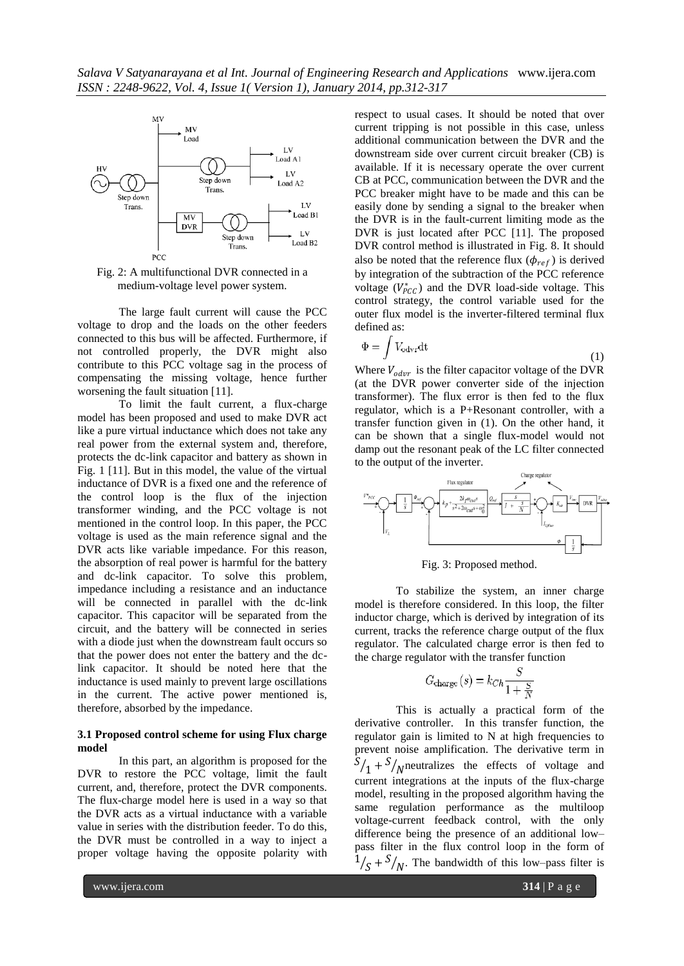



The large fault current will cause the PCC voltage to drop and the loads on the other feeders connected to this bus will be affected. Furthermore, if not controlled properly, the DVR might also contribute to this PCC voltage sag in the process of compensating the missing voltage, hence further worsening the fault situation [11].

To limit the fault current, a flux-charge model has been proposed and used to make DVR act like a pure virtual inductance which does not take any real power from the external system and, therefore, protects the dc-link capacitor and battery as shown in Fig. 1 [11]. But in this model, the value of the virtual inductance of DVR is a fixed one and the reference of the control loop is the flux of the injection transformer winding, and the PCC voltage is not mentioned in the control loop. In this paper, the PCC voltage is used as the main reference signal and the DVR acts like variable impedance. For this reason, the absorption of real power is harmful for the battery and dc-link capacitor. To solve this problem, impedance including a resistance and an inductance will be connected in parallel with the dc-link capacitor. This capacitor will be separated from the circuit, and the battery will be connected in series with a diode just when the downstream fault occurs so that the power does not enter the battery and the dclink capacitor. It should be noted here that the inductance is used mainly to prevent large oscillations in the current. The active power mentioned is, therefore, absorbed by the impedance.

#### **3.1 Proposed control scheme for using Flux charge model**

In this part, an algorithm is proposed for the DVR to restore the PCC voltage, limit the fault current, and, therefore, protect the DVR components. The flux-charge model here is used in a way so that the DVR acts as a virtual inductance with a variable value in series with the distribution feeder. To do this, the DVR must be controlled in a way to inject a proper voltage having the opposite polarity with

respect to usual cases. It should be noted that over current tripping is not possible in this case, unless additional communication between the DVR and the downstream side over current circuit breaker (CB) is available. If it is necessary operate the over current CB at PCC, communication between the DVR and the PCC breaker might have to be made and this can be easily done by sending a signal to the breaker when the DVR is in the fault-current limiting mode as the DVR is just located after PCC [11]. The proposed DVR control method is illustrated in Fig. 8. It should also be noted that the reference flux  $(\phi_{ref})$  is derived by integration of the subtraction of the PCC reference voltage  $(V_{\text{PCC}}^{*})$  and the DVR load-side voltage. This control strategy, the control variable used for the outer flux model is the inverter-filtered terminal flux defined as:

$$
\Phi = \int V_{\text{odvr}} \text{dt} \tag{1}
$$

Where  $V_{odvr}$  is the filter capacitor voltage of the DVR (at the DVR power converter side of the injection transformer). The flux error is then fed to the flux regulator, which is a P+Resonant controller, with a transfer function given in (1). On the other hand, it can be shown that a single flux-model would not damp out the resonant peak of the LC filter connected to the output of the inverter.



Fig. 3: Proposed method.

To stabilize the system, an inner charge model is therefore considered. In this loop, the filter inductor charge, which is derived by integration of its current, tracks the reference charge output of the flux regulator. The calculated charge error is then fed to the charge regulator with the transfer function

$$
G_{\text{charge}}\left(s\right) = k_{Ch} \frac{S}{1 + \frac{S}{N}}
$$

This is actually a practical form of the derivative controller. In this transfer function, the regulator gain is limited to N at high frequencies to prevent noise amplification. The derivative term in  $S/I + S/N$  neutralizes the effects of voltage and current integrations at the inputs of the flux-charge model, resulting in the proposed algorithm having the same regulation performance as the multiloop voltage-current feedback control, with the only difference being the presence of an additional low– pass filter in the flux control loop in the form of  $\frac{1}{s} + \frac{s}{N}$ . The bandwidth of this low–pass filter is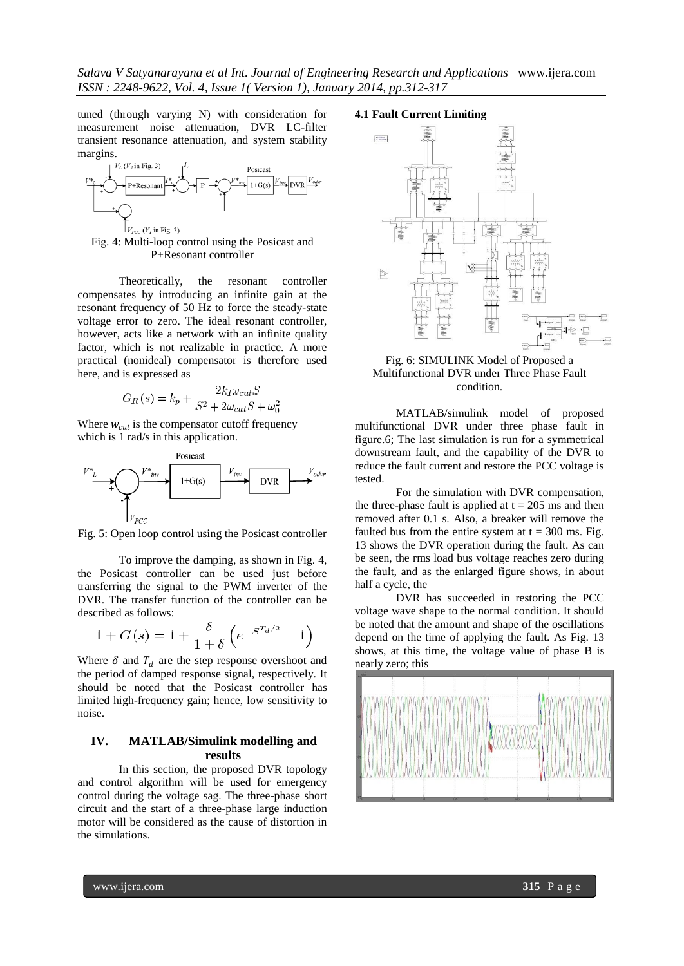tuned (through varying N) with consideration for measurement noise attenuation, DVR LC-filter transient resonance attenuation, and system stability margins.



Fig. 4: Multi-loop control using the Posicast and P+Resonant controller

Theoretically, the resonant controller compensates by introducing an infinite gain at the resonant frequency of 50 Hz to force the steady-state voltage error to zero. The ideal resonant controller, however, acts like a network with an infinite quality factor, which is not realizable in practice. A more practical (nonideal) compensator is therefore used here, and is expressed as

$$
G_R(s) = k_p + \frac{2k_I\omega_{cut}S}{S^2 + 2\omega_{cut}S + \omega_0^2}
$$

Where  $w_{cut}$  is the compensator cutoff frequency which is 1 rad/s in this application.



Fig. 5: Open loop control using the Posicast controller

To improve the damping, as shown in Fig. 4, the Posicast controller can be used just before transferring the signal to the PWM inverter of the DVR. The transfer function of the controller can be described as follows:

$$
1 + G(s) = 1 + \frac{\delta}{1 + \delta} \left( e^{-S^{T_d/2}} - 1 \right)
$$

Where  $\delta$  and  $T_d$  are the step response overshoot and the period of damped response signal, respectively. It should be noted that the Posicast controller has limited high-frequency gain; hence, low sensitivity to noise.

## **IV. MATLAB/Simulink modelling and results**

In this section, the proposed DVR topology and control algorithm will be used for emergency control during the voltage sag. The three-phase short circuit and the start of a three-phase large induction motor will be considered as the cause of distortion in the simulations.

#### **4.1 Fault Current Limiting**



Fig. 6: SIMULINK Model of Proposed a Multifunctional DVR under Three Phase Fault condition.

MATLAB/simulink model of proposed multifunctional DVR under three phase fault in figure.6; The last simulation is run for a symmetrical downstream fault, and the capability of the DVR to reduce the fault current and restore the PCC voltage is tested.

For the simulation with DVR compensation, the three-phase fault is applied at  $t = 205$  ms and then removed after 0.1 s. Also, a breaker will remove the faulted bus from the entire system at  $t = 300$  ms. Fig. 13 shows the DVR operation during the fault. As can be seen, the rms load bus voltage reaches zero during the fault, and as the enlarged figure shows, in about half a cycle, the

DVR has succeeded in restoring the PCC voltage wave shape to the normal condition. It should be noted that the amount and shape of the oscillations depend on the time of applying the fault. As Fig. 13 shows, at this time, the voltage value of phase B is nearly zero; this

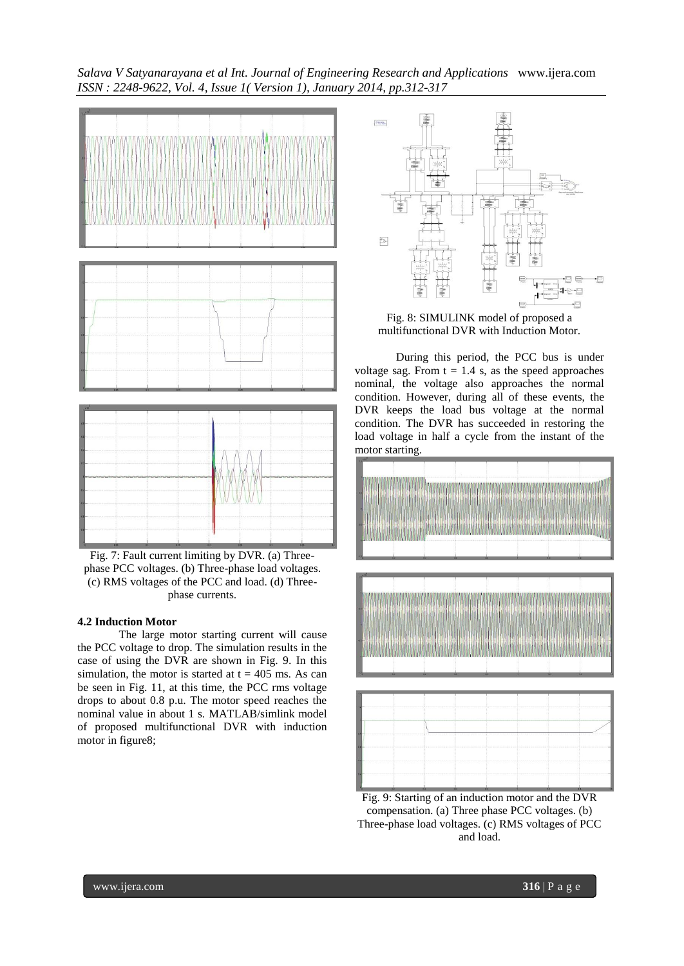*Salava V Satyanarayana et al Int. Journal of Engineering Research and Applications* www.ijera.com *ISSN : 2248-9622, Vol. 4, Issue 1( Version 1), January 2014, pp.312-317*





Fig. 7: Fault current limiting by DVR. (a) Threephase PCC voltages. (b) Three-phase load voltages. (c) RMS voltages of the PCC and load. (d) Threephase currents.

#### **4.2 Induction Motor**

The large motor starting current will cause the PCC voltage to drop. The simulation results in the case of using the DVR are shown in Fig. 9. In this simulation, the motor is started at  $t = 405$  ms. As can be seen in Fig. 11, at this time, the PCC rms voltage drops to about 0.8 p.u. The motor speed reaches the nominal value in about 1 s. MATLAB/simlink model of proposed multifunctional DVR with induction motor in figure8;



Fig. 8: SIMULINK model of proposed a multifunctional DVR with Induction Motor.

During this period, the PCC bus is under voltage sag. From  $t = 1.4$  s, as the speed approaches nominal, the voltage also approaches the normal condition. However, during all of these events, the DVR keeps the load bus voltage at the normal condition. The DVR has succeeded in restoring the load voltage in half a cycle from the instant of the motor starting.





Fig. 9: Starting of an induction motor and the DVR compensation. (a) Three phase PCC voltages. (b) Three-phase load voltages. (c) RMS voltages of PCC and load.